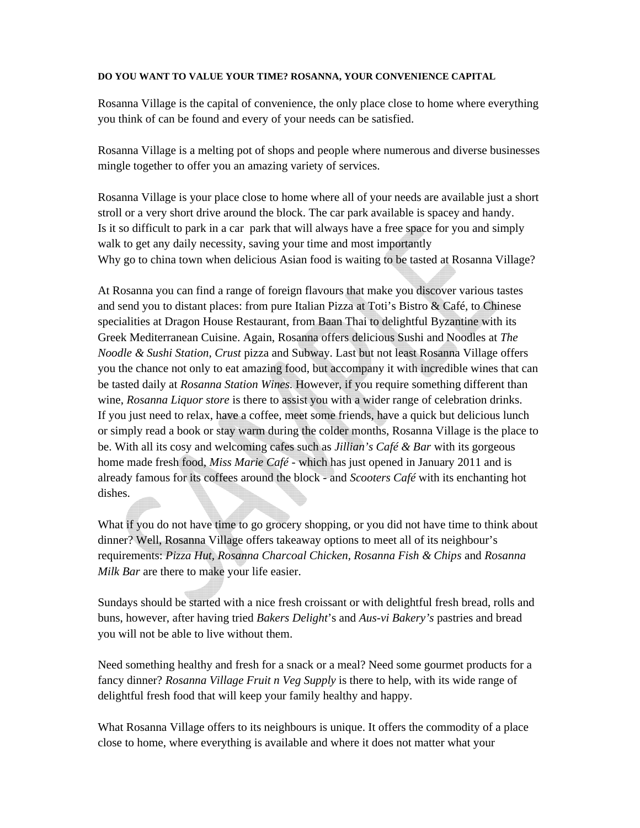## **DO YOU WANT TO VALUE YOUR TIME? ROSANNA, YOUR CONVENIENCE CAPITAL**

Rosanna Village is the capital of convenience, the only place close to home where everything you think of can be found and every of your needs can be satisfied.

Rosanna Village is a melting pot of shops and people where numerous and diverse businesses mingle together to offer you an amazing variety of services.

Rosanna Village is your place close to home where all of your needs are available just a short stroll or a very short drive around the block. The car park available is spacey and handy. Is it so difficult to park in a car park that will always have a free space for you and simply walk to get any daily necessity, saving your time and most importantly Why go to china town when delicious Asian food is waiting to be tasted at Rosanna Village?

At Rosanna you can find a range of foreign flavours that make you discover various tastes and send you to distant places: from pure Italian Pizza at Toti's Bistro & Café, to Chinese specialities at Dragon House Restaurant, from Baan Thai to delightful Byzantine with its Greek Mediterranean Cuisine. Again, Rosanna offers delicious Sushi and Noodles at *The Noodle & Sushi Station*, *Crust* pizza and Subway. Last but not least Rosanna Village offers you the chance not only to eat amazing food, but accompany it with incredible wines that can be tasted daily at *Rosanna Station Wines.* However, if you require something different than wine, *Rosanna Liquor store* is there to assist you with a wider range of celebration drinks. If you just need to relax, have a coffee, meet some friends, have a quick but delicious lunch or simply read a book or stay warm during the colder months, Rosanna Village is the place to be. With all its cosy and welcoming cafes such as *Jillian's Café & Bar* with its gorgeous home made fresh food*, Miss Marie Café -* which has just opened in January 2011 and is already famous for its coffees around the block - and *Scooters Café* with its enchanting hot dishes.

What if you do not have time to go grocery shopping, or you did not have time to think about dinner? Well, Rosanna Village offers takeaway options to meet all of its neighbour's requirements: *Pizza Hut, Rosanna Charcoal Chicken, Rosanna Fish & Chips* and *Rosanna Milk Bar* are there to make your life easier.

Sundays should be started with a nice fresh croissant or with delightful fresh bread, rolls and buns, however, after having tried *Bakers Delight*'s and *Aus-vi Bakery's* pastries and bread you will not be able to live without them.

Need something healthy and fresh for a snack or a meal? Need some gourmet products for a fancy dinner? *Rosanna Village Fruit n Veg Supply* is there to help, with its wide range of delightful fresh food that will keep your family healthy and happy.

What Rosanna Village offers to its neighbours is unique. It offers the commodity of a place close to home, where everything is available and where it does not matter what your